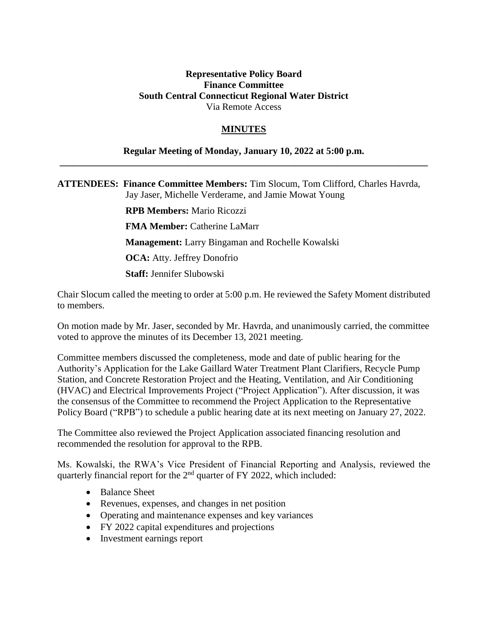## **Representative Policy Board Finance Committee South Central Connecticut Regional Water District** Via Remote Access

## **MINUTES**

## **Regular Meeting of Monday, January 10, 2022 at 5:00 p.m. \_\_\_\_\_\_\_\_\_\_\_\_\_\_\_\_\_\_\_\_\_\_\_\_\_\_\_\_\_\_\_\_\_\_\_\_\_\_\_\_\_\_\_\_\_\_\_\_\_\_\_\_\_\_\_\_\_\_\_\_\_\_\_\_\_\_\_\_\_\_\_\_\_\_\_\_\_**

**ATTENDEES: Finance Committee Members:** Tim Slocum, Tom Clifford, Charles Havrda, Jay Jaser, Michelle Verderame, and Jamie Mowat Young

> **RPB Members:** Mario Ricozzi **FMA Member: Catherine LaMarr Management:** Larry Bingaman and Rochelle Kowalski **OCA:** Atty. Jeffrey Donofrio **Staff:** Jennifer Slubowski

Chair Slocum called the meeting to order at 5:00 p.m. He reviewed the Safety Moment distributed to members.

On motion made by Mr. Jaser, seconded by Mr. Havrda, and unanimously carried, the committee voted to approve the minutes of its December 13, 2021 meeting.

Committee members discussed the completeness, mode and date of public hearing for the Authority's Application for the Lake Gaillard Water Treatment Plant Clarifiers, Recycle Pump Station, and Concrete Restoration Project and the Heating, Ventilation, and Air Conditioning (HVAC) and Electrical Improvements Project ("Project Application"). After discussion, it was the consensus of the Committee to recommend the Project Application to the Representative Policy Board ("RPB") to schedule a public hearing date at its next meeting on January 27, 2022.

The Committee also reviewed the Project Application associated financing resolution and recommended the resolution for approval to the RPB.

Ms. Kowalski, the RWA's Vice President of Financial Reporting and Analysis, reviewed the quarterly financial report for the 2<sup>nd</sup> quarter of FY 2022, which included:

- Balance Sheet
- Revenues, expenses, and changes in net position
- Operating and maintenance expenses and key variances
- FY 2022 capital expenditures and projections
- Investment earnings report